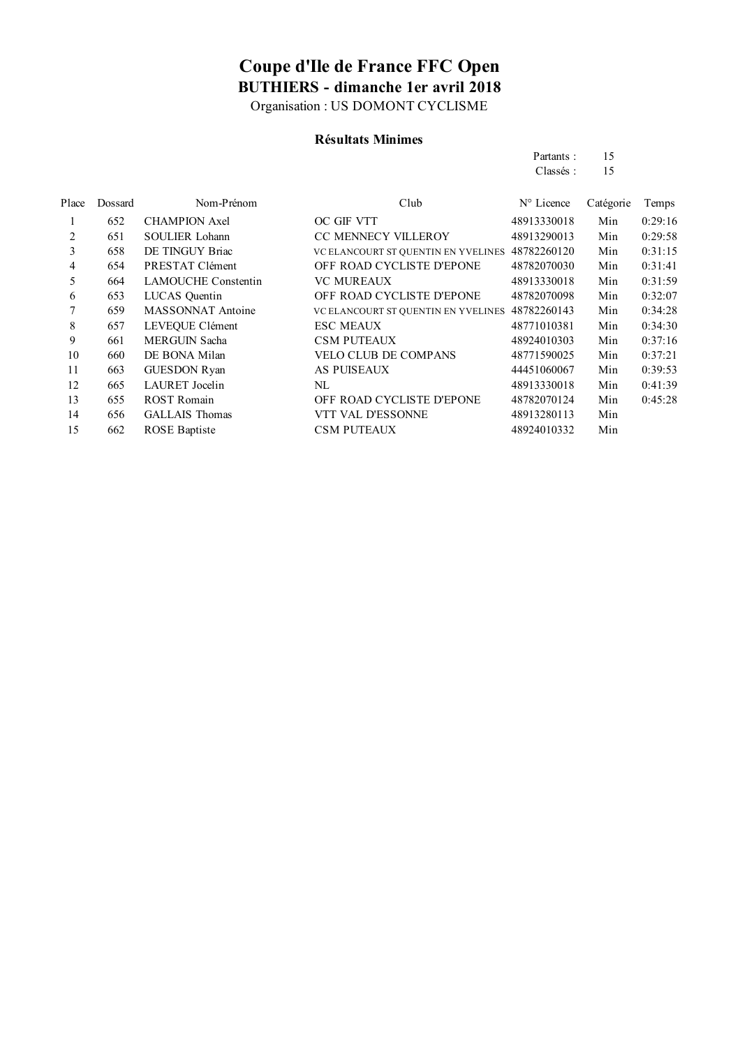Organisation : US DOMONT CYCLISME

### **Résultats Minimes**

| Partants: | 15 |
|-----------|----|
| Classés:  | 15 |

| Dossard | Nom-Prénom                 | Club                                | $N^{\circ}$ Licence | Catégorie | Temps   |
|---------|----------------------------|-------------------------------------|---------------------|-----------|---------|
| 652     | <b>CHAMPION Axel</b>       | OC GIF VTT                          | 48913330018         | Min       | 0:29:16 |
| 651     | <b>SOULIER Lohann</b>      | <b>CC MENNECY VILLEROY</b>          | 48913290013         | Min       | 0:29:58 |
| 658     | DE TINGUY Briac            | VC ELANCOURT ST QUENTIN EN YVELINES | 48782260120         | Min       | 0:31:15 |
| 654     | PRESTAT Clément            | OFF ROAD CYCLISTE D'EPONE           | 48782070030         | Min       | 0:31:41 |
| 664     | <b>LAMOUCHE Constentin</b> | <b>VC MUREAUX</b>                   | 48913330018         | Min       | 0:31:59 |
| 653     | LUCAS Quentin              | OFF ROAD CYCLISTE D'EPONE           | 48782070098         | Min       | 0:32:07 |
| 659     | <b>MASSONNAT Antoine</b>   | VC ELANCOURT ST QUENTIN EN YVELINES | 48782260143         | Min       | 0:34:28 |
| 657     | LEVEOUE Clément            | <b>ESC MEAUX</b>                    | 48771010381         | Min       | 0:34:30 |
| 661     | <b>MERGUIN Sacha</b>       | <b>CSM PUTEAUX</b>                  | 48924010303         | Min       | 0:37:16 |
| 660     | DE BONA Milan              | <b>VELO CLUB DE COMPANS</b>         | 48771590025         | Min       | 0:37:21 |
| 663     | <b>GUESDON Ryan</b>        | <b>AS PUISEAUX</b>                  | 44451060067         | Min       | 0:39:53 |
| 665     | <b>LAURET</b> Jocelin      | NL                                  | 48913330018         | Min       | 0:41:39 |
| 655     | <b>ROST Romain</b>         | OFF ROAD CYCLISTE D'EPONE           | 48782070124         | Min       | 0:45:28 |
| 656     | <b>GALLAIS</b> Thomas      | VTT VAL D'ESSONNE                   | 48913280113         | Min       |         |
| 662     | <b>ROSE</b> Baptiste       | <b>CSM PUTEAUX</b>                  | 48924010332         | Min       |         |
|         |                            |                                     |                     |           |         |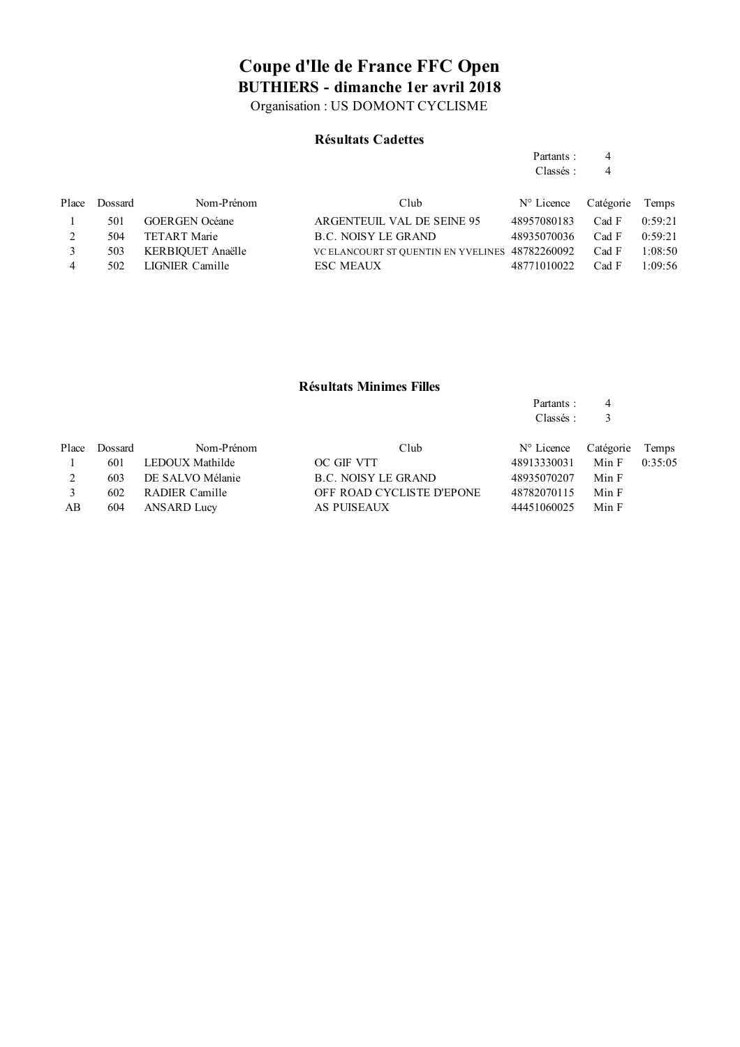Organisation : US DOMONT CYCLISME

#### **Résultats Cadettes**

| Partants : | 4 |
|------------|---|
| Classés:   | 4 |

Partants : 4

|   | Place Dossard | Nom-Prénom            | Club                                            | $N^{\circ}$ Licence | Catégorie Temps |         |
|---|---------------|-----------------------|-------------------------------------------------|---------------------|-----------------|---------|
|   | 501           | <b>GOERGEN</b> Océane | ARGENTEUIL VAL DE SEINE 95                      | 48957080183         | Cad F           | 0:59:21 |
|   | 504           | TETART Marie          | <b>B.C. NOISY LE GRAND</b>                      | 48935070036         | Cad F           | 0:59:21 |
|   | 503           | KERBIOUET Anaëlle     | VC ELANCOURT ST QUENTIN EN YVELINES 48782260092 |                     | Cad F           | 1:08:50 |
| 4 | 502           | LIGNIER Camille       | <b>ESC MEAUX</b>                                | 48771010022         | Cad F           | 1:09:56 |

#### **Résultats Minimes Filles**

|       |         |                  |                           | Classés:            |           |         |
|-------|---------|------------------|---------------------------|---------------------|-----------|---------|
| Place | Dossard | Nom-Prénom       | Club                      | $N^{\circ}$ Licence | Catégorie | Temps   |
|       | 601     | LEDOUX Mathilde  | OC GIF VTT                | 48913330031         | Min F     | 0:35:05 |
| 2     | 603     | DE SALVO Mélanie | B.C. NOISY LE GRAND       | 48935070207         | Min F     |         |
|       | 602     | RADIER Camille   | OFF ROAD CYCLISTE D'EPONE | 48782070115         | Min F     |         |
| AВ    | 604     | ANSARD Lucy      | AS PUISEAUX               | 44451060025         | Min F     |         |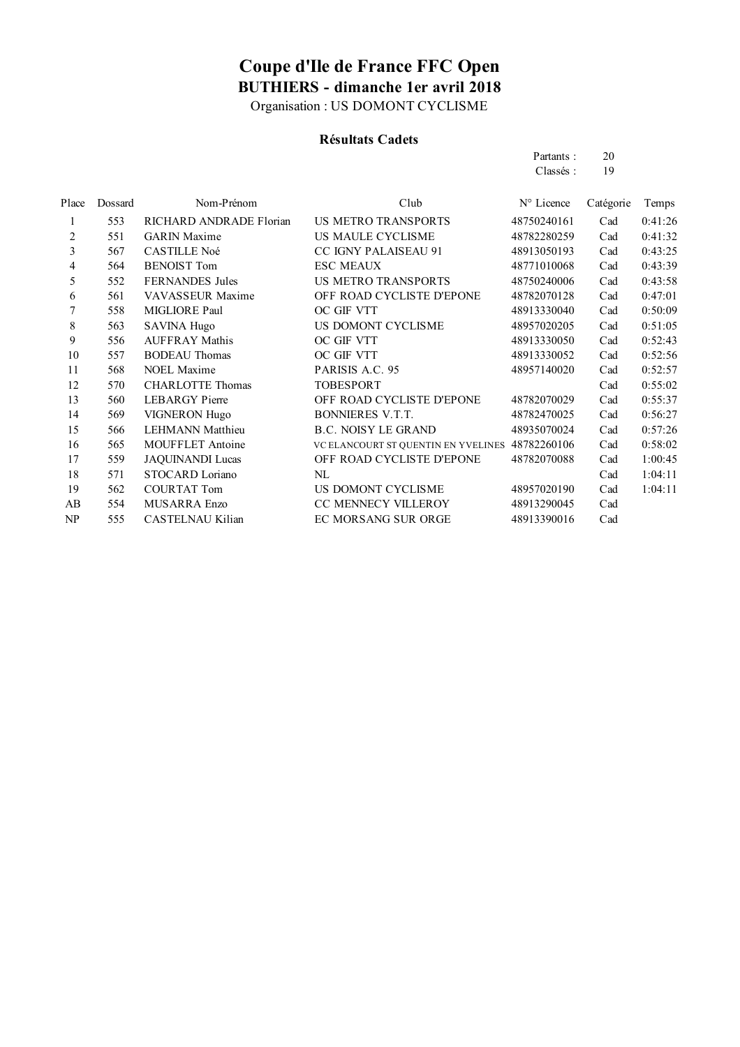Organisation : US DOMONT CYCLISME

### **Résultats Cadets**

| Partants: | 20 |
|-----------|----|
| Classés:  | 19 |

| Dossard | Nom-Prénom              | Club                                | N° Licence  | Catégorie | Temps   |
|---------|-------------------------|-------------------------------------|-------------|-----------|---------|
| 553     | RICHARD ANDRADE Florian | <b>US METRO TRANSPORTS</b>          | 48750240161 | Cad       | 0:41:26 |
| 551     | <b>GARIN</b> Maxime     | US MAULE CYCLISME                   | 48782280259 | Cad       | 0:41:32 |
| 567     | <b>CASTILLE Noé</b>     | <b>CC IGNY PALAISEAU 91</b>         | 48913050193 | Cad       | 0:43:25 |
| 564     | <b>BENOIST Tom</b>      | <b>ESC MEAUX</b>                    | 48771010068 | Cad       | 0:43:39 |
| 552     | <b>FERNANDES</b> Jules  | <b>US METRO TRANSPORTS</b>          | 48750240006 | Cad       | 0:43:58 |
| 561     | VAVASSEUR Maxime        | OFF ROAD CYCLISTE D'EPONE           | 48782070128 | Cad       | 0:47:01 |
| 558     | MIGLIORE Paul           | OC GIF VTT                          | 48913330040 | Cad       | 0:50:09 |
| 563     | <b>SAVINA Hugo</b>      | US DOMONT CYCLISME                  | 48957020205 | Cad       | 0:51:05 |
| 556     | <b>AUFFRAY Mathis</b>   | OC GIF VTT                          | 48913330050 | Cad       | 0:52:43 |
| 557     | <b>BODEAU</b> Thomas    | OC GIF VTT                          | 48913330052 | Cad       | 0:52:56 |
| 568     | <b>NOEL Maxime</b>      | PARISIS A.C. 95                     | 48957140020 | Cad       | 0:52:57 |
| 570     | <b>CHARLOTTE Thomas</b> | <b>TOBESPORT</b>                    |             | Cad       | 0:55:02 |
| 560     | <b>LEBARGY</b> Pierre   | OFF ROAD CYCLISTE D'EPONE           | 48782070029 | Cad       | 0:55:37 |
| 569     | <b>VIGNERON Hugo</b>    | <b>BONNIERES V.T.T.</b>             | 48782470025 | Cad       | 0:56:27 |
| 566     | <b>LEHMANN</b> Matthieu | <b>B.C. NOISY LE GRAND</b>          | 48935070024 | Cad       | 0:57:26 |
| 565     | MOUFFLET Antoine        | VC ELANCOURT ST QUENTIN EN YVELINES | 48782260106 | Cad       | 0:58:02 |
| 559     | <b>JAQUINANDI Lucas</b> | OFF ROAD CYCLISTE D'EPONE           | 48782070088 | Cad       | 1:00:45 |
| 571     | STOCARD Loriano         | NL                                  |             | Cad       | 1:04:11 |
| 562     | <b>COURTAT Tom</b>      | US DOMONT CYCLISME                  | 48957020190 | Cad       | 1:04:11 |
| 554     | MUSARRA Enzo            | CC MENNECY VILLEROY                 | 48913290045 | Cad       |         |
| 555     | CASTELNAU Kilian        | EC MORSANG SUR ORGE                 | 48913390016 | Cad       |         |
|         |                         |                                     |             |           |         |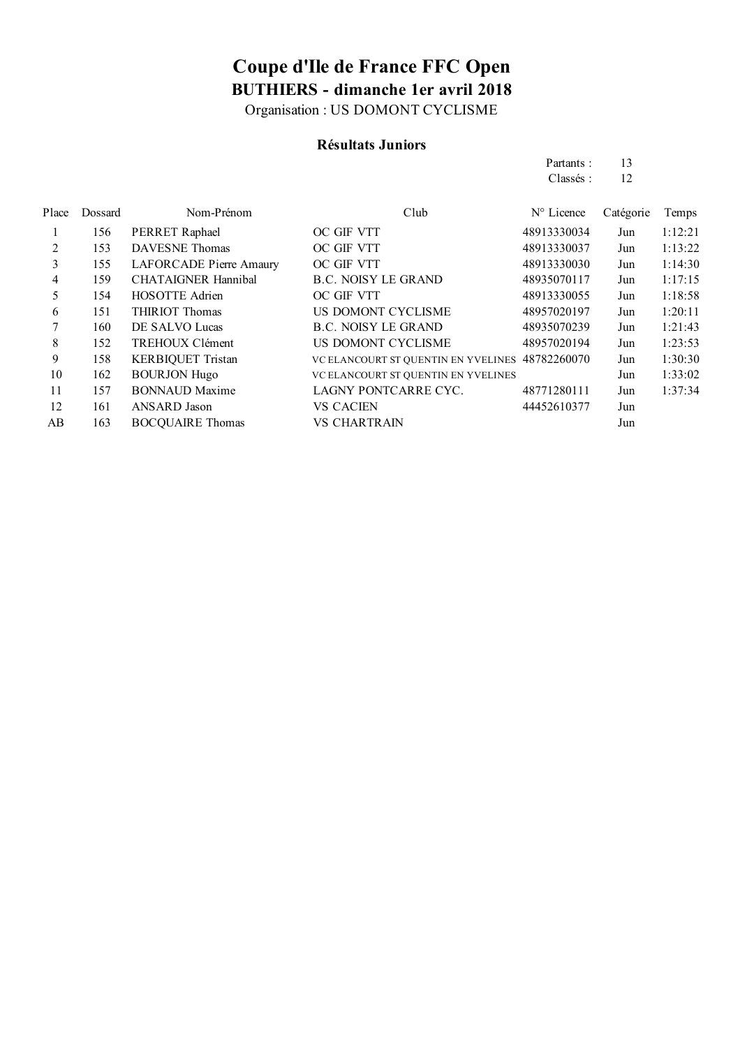Organisation : US DOMONT CYCLISME

### **Résultats Juniors**

|       |         |                            |                                     | Partants:   | 13        |         |
|-------|---------|----------------------------|-------------------------------------|-------------|-----------|---------|
|       |         |                            |                                     | Classés:    | 12        |         |
| Place | Dossard | Nom-Prénom                 | Club                                | N° Licence  | Catégorie | Temps   |
| 1     | 156     | PERRET Raphael             | OC GIF VTT                          | 48913330034 | Jun       | 1:12:21 |
| 2     | 153     | <b>DAVESNE</b> Thomas      | OC GIF VTT                          | 48913330037 | Jun       | 1:13:22 |
| 3     | 155     | LAFORCADE Pierre Amaury    | OC GIF VTT                          | 48913330030 | Jun       | 1:14:30 |
| 4     | 159     | <b>CHATAIGNER Hannibal</b> | <b>B.C. NOISY LE GRAND</b>          | 48935070117 | Jun       | 1:17:15 |
| 5     | 154     | <b>HOSOTTE Adrien</b>      | OC GIF VTT                          | 48913330055 | Jun       | 1:18:58 |
| 6     | 151     | <b>THIRIOT Thomas</b>      | US DOMONT CYCLISME                  | 48957020197 | Jun       | 1:20:11 |
| 7     | 160     | DE SALVO Lucas             | <b>B.C. NOISY LE GRAND</b>          | 48935070239 | Jun       | 1:21:43 |
| 8     | 152     | TREHOUX Clément            | US DOMONT CYCLISME                  | 48957020194 | Jun       | 1:23:53 |
| 9     | 158     | <b>KERBIQUET Tristan</b>   | VC ELANCOURT ST QUENTIN EN YVELINES | 48782260070 | Jun       | 1:30:30 |
| 10    | 162     | <b>BOURJON Hugo</b>        | VC ELANCOURT ST QUENTIN EN YVELINES |             | Jun       | 1:33:02 |
| 11    | 157     | <b>BONNAUD Maxime</b>      | LAGNY PONTCARRE CYC.                | 48771280111 | Jun       | 1:37:34 |
| 12    | 161     | ANSARD Jason               | VS CACIEN                           | 44452610377 | Jun       |         |
| AB    | 163     | <b>BOCQUAIRE Thomas</b>    | VS CHARTRAIN                        |             | Jun       |         |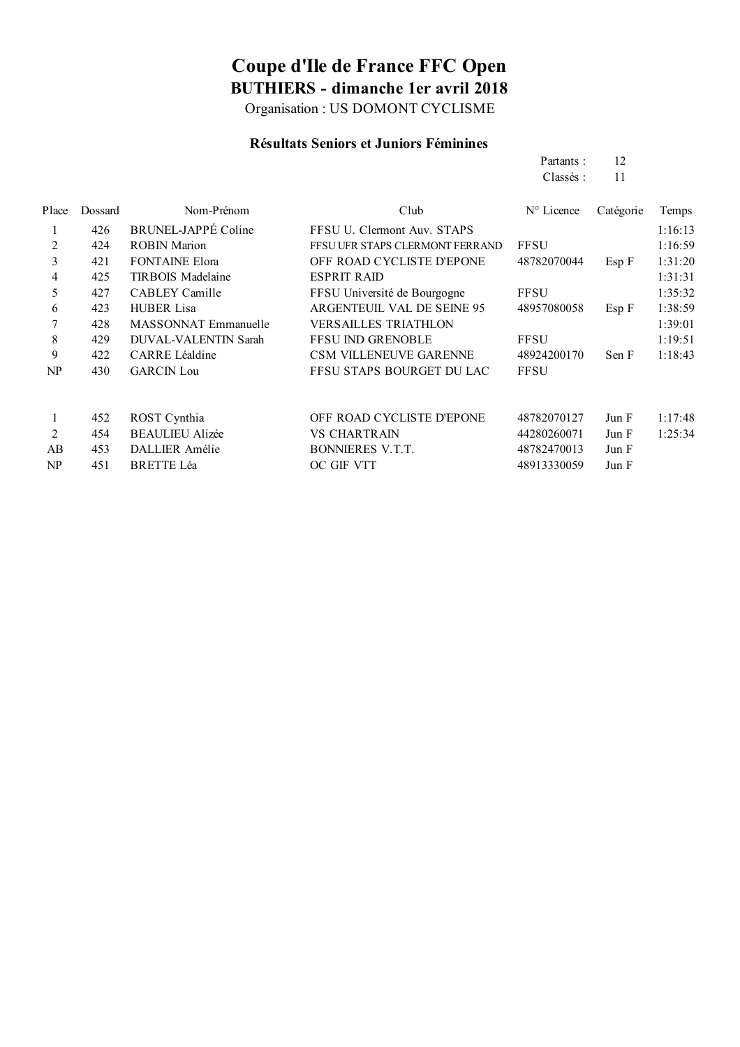Organisation : US DOMONT CYCLISME

#### **Résultats Seniors et Juniors Féminines**

Partants : 12 Classés : 11

| Place          | Dossard | Nom-Prénom               | Club                            | $N^{\circ}$ Licence | Catégorie  | Temps   |
|----------------|---------|--------------------------|---------------------------------|---------------------|------------|---------|
|                | 426     | BRUNEL-JAPPÉ Coline      | FFSU U. Clermont Auv. STAPS     |                     |            | 1:16:13 |
| 2              | 424     | <b>ROBIN Marion</b>      | FFSU UFR STAPS CLERMONT FERRAND | <b>FFSU</b>         |            | 1:16:59 |
| 3              | 421     | <b>FONTAINE Elora</b>    | OFF ROAD CYCLISTE D'EPONE       | 48782070044         | $Esp \, F$ | 1:31:20 |
| $\overline{4}$ | 425     | <b>TIRBOIS Madelaine</b> | <b>ESPRIT RAID</b>              |                     |            | 1:31:31 |
| 5              | 427     | CABLEY Camille           | FFSU Université de Bourgogne    | <b>FFSU</b>         |            | 1:35:32 |
| 6              | 423     | <b>HUBER Lisa</b>        | ARGENTEUIL VAL DE SEINE 95      | 48957080058         | Esp F      | 1:38:59 |
| 7              | 428     | MASSONNAT Emmanuelle     | <b>VERSAILLES TRIATHLON</b>     |                     |            | 1:39:01 |
| 8              | 429     | DUVAL-VALENTIN Sarah     | <b>FFSU IND GRENOBLE</b>        | <b>FFSU</b>         |            | 1:19:51 |
| 9              | 422     | <b>CARRE Léaldine</b>    | <b>CSM VILLENEUVE GARENNE</b>   | 48924200170         | Sen F      | 1:18:43 |
| NP             | 430     | <b>GARCIN</b> Lou        | FFSU STAPS BOURGET DU LAC       | <b>FFSU</b>         |            |         |
|                |         |                          |                                 |                     |            |         |
|                | 452     | ROST Cynthia             | OFF ROAD CYCLISTE D'EPONE       | 48782070127         | Jun F      | 1:17:48 |
| 2              | 454     | <b>BEAULIEU Alizée</b>   | <b>VS CHARTRAIN</b>             | 44280260071         | Jun F      | 1:25:34 |
| AB             | 453     | DALLIER Amélie           | <b>BONNIERES V.T.T.</b>         | 48782470013         | Jun F      |         |
| NP             | 451     | <b>BRETTE Léa</b>        | OC GIF VTT                      | 48913330059         | Jun F      |         |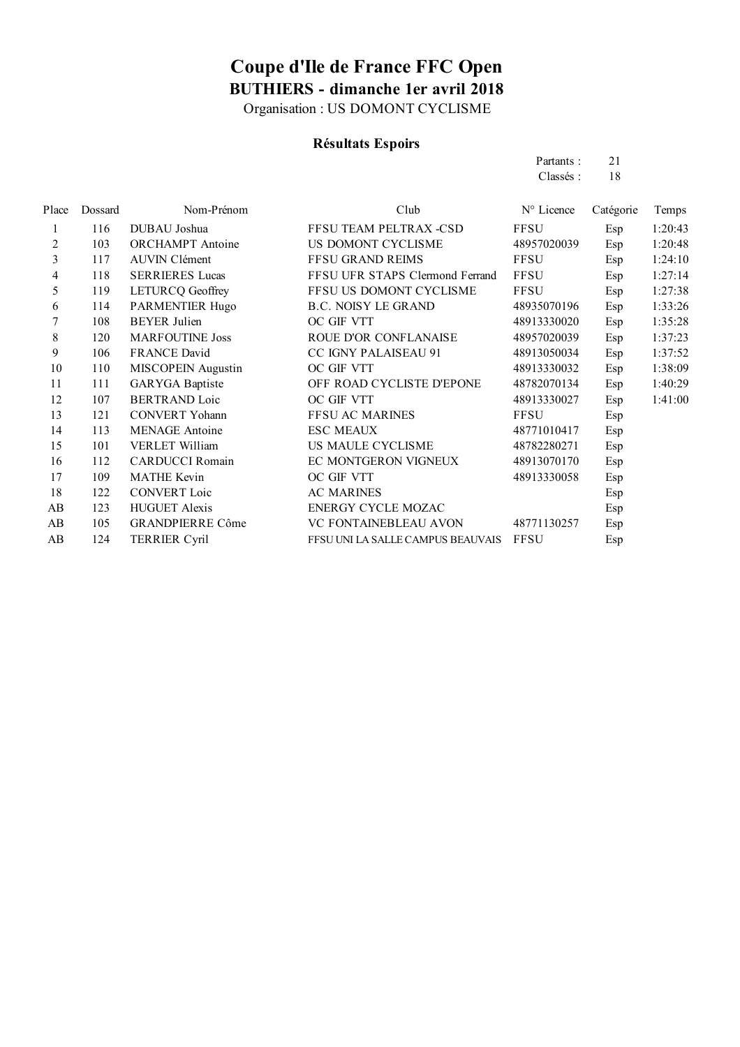Organisation : US DOMONT CYCLISME

### **Résultats Espoirs**

| Partants: | 21 |
|-----------|----|
| Classés:  | 18 |

| Place          | Dossard | Nom-Prénom              | Club                              | N° Licence  | Catégorie | Temps   |
|----------------|---------|-------------------------|-----------------------------------|-------------|-----------|---------|
| 1              | 116     | DUBAU Joshua            | FFSU TEAM PELTRAX -CSD            | <b>FFSU</b> | Esp       | 1:20:43 |
| $\overline{c}$ | 103     | <b>ORCHAMPT</b> Antoine | US DOMONT CYCLISME                | 48957020039 | Esp       | 1:20:48 |
| 3              | 117     | <b>AUVIN Clément</b>    | <b>FFSU GRAND REIMS</b>           | <b>FFSU</b> | Esp       | 1:24:10 |
| 4              | 118     | <b>SERRIERES Lucas</b>  | FFSU UFR STAPS Clermond Ferrand   | <b>FFSU</b> | Esp       | 1:27:14 |
| 5              | 119     | <b>LETURCQ Geoffrey</b> | FFSU US DOMONT CYCLISME           | <b>FFSU</b> | Esp       | 1:27:38 |
| 6              | 114     | PARMENTIER Hugo         | <b>B.C. NOISY LE GRAND</b>        | 48935070196 | Esp       | 1:33:26 |
| 7              | 108     | <b>BEYER</b> Julien     | OC GIF VTT                        | 48913330020 | Esp       | 1:35:28 |
| 8              | 120     | <b>MARFOUTINE Joss</b>  | ROUE D'OR CONFLANAISE             | 48957020039 | Esp       | 1:37:23 |
| 9              | 106     | <b>FRANCE David</b>     | <b>CC IGNY PALAISEAU 91</b>       | 48913050034 | Esp       | 1:37:52 |
| 10             | 110     | MISCOPEIN Augustin      | OC GIF VTT                        | 48913330032 | Esp       | 1:38:09 |
| 11             | 111     | <b>GARYGA</b> Baptiste  | OFF ROAD CYCLISTE D'EPONE         | 48782070134 | Esp       | 1:40:29 |
| 12             | 107     | <b>BERTRAND Loic</b>    | OC GIF VTT                        | 48913330027 | Esp       | 1:41:00 |
| 13             | 121     | <b>CONVERT Yohann</b>   | <b>FFSU AC MARINES</b>            | <b>FFSU</b> | Esp       |         |
| 14             | 113     | <b>MENAGE</b> Antoine   | <b>ESC MEAUX</b>                  | 48771010417 | Esp       |         |
| 15             | 101     | VERLET William          | US MAULE CYCLISME                 | 48782280271 | Esp       |         |
| 16             | 112     | <b>CARDUCCI</b> Romain  | EC MONTGERON VIGNEUX              | 48913070170 | Esp       |         |
| 17             | 109     | <b>MATHE Kevin</b>      | OC GIF VTT                        | 48913330058 | Esp       |         |
| 18             | 122     | <b>CONVERT Loic</b>     | <b>AC MARINES</b>                 |             | Esp       |         |
| AB             | 123     | <b>HUGUET Alexis</b>    | <b>ENERGY CYCLE MOZAC</b>         |             | Esp       |         |
| AB             | 105     | <b>GRANDPIERRE Côme</b> | <b>VC FONTAINEBLEAU AVON</b>      | 48771130257 | Esp       |         |
| AB             | 124     | <b>TERRIER Cyril</b>    | FFSU UNI LA SALLE CAMPUS BEAUVAIS | <b>FFSU</b> | Esp       |         |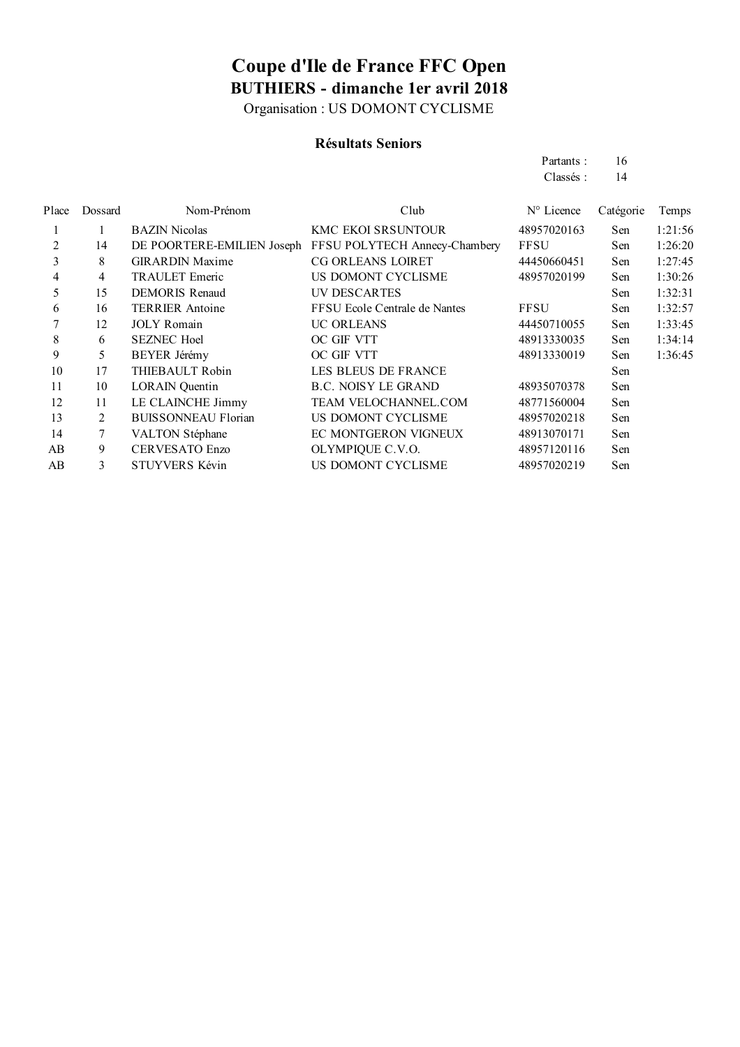Organisation : US DOMONT CYCLISME

### **Résultats Seniors**

|        |         |                            |                               | Partants:           | 16        |         |
|--------|---------|----------------------------|-------------------------------|---------------------|-----------|---------|
|        |         |                            |                               | Classés:            | 14        |         |
| Place  | Dossard | Nom-Prénom                 | Club                          | $N^{\circ}$ Licence | Catégorie | Temps   |
|        |         | <b>BAZIN</b> Nicolas       | KMC EKOI SRSUNTOUR            | 48957020163         | Sen       | 1:21:56 |
| 2      | 14      | DE POORTERE-EMILIEN Joseph | FFSU POLYTECH Annecy-Chambery | <b>FFSU</b>         | Sen       | 1:26:20 |
| 3      | 8       | <b>GIRARDIN Maxime</b>     | <b>CG ORLEANS LOIRET</b>      | 44450660451         | Sen       | 1:27:45 |
| 4      | 4       | <b>TRAULET Emeric</b>      | US DOMONT CYCLISME            | 48957020199         | Sen       | 1:30:26 |
| 5      | 15      | <b>DEMORIS Renaud</b>      | UV DESCARTES                  |                     | Sen       | 1:32:31 |
| 6      | 16      | <b>TERRIER</b> Antoine     | FFSU Ecole Centrale de Nantes | <b>FFSU</b>         | Sen       | 1:32:57 |
|        | 12      | <b>JOLY</b> Romain         | <b>UC ORLEANS</b>             | 44450710055         | Sen       | 1:33:45 |
| 8      | 6       | <b>SEZNEC Hoel</b>         | OC GIF VTT                    | 48913330035         | Sen       | 1:34:14 |
| 9      | 5       | <b>BEYER Jérémy</b>        | OC GIF VTT                    | 48913330019         | Sen       | 1:36:45 |
| $\sim$ | $\sim$  | $\pi$                      | LEG BLEUG BE ER LUGE          |                     |           |         |

|    | $\overline{1}$ | $3011$ is community        | $\sigma$ on $\sigma$        | 111 <i>001</i> 100 <i>00</i> | $\cup$ ui | 1.00.10 |
|----|----------------|----------------------------|-----------------------------|------------------------------|-----------|---------|
| 8  | 6              | <b>SEZNEC Hoel</b>         | OC GIF VTT                  | 48913330035                  | Sen       | 1:34:14 |
| 9  |                | BEYER Jérémy               | OC GIF VTT                  | 48913330019                  | Sen       | 1:36:45 |
| 10 | 17             | THIEBAULT Robin            | LES BLEUS DE FRANCE         |                              | Sen       |         |
| 11 | 10             | <b>LORAIN</b> Quentin      | <b>B.C. NOISY LE GRAND</b>  | 48935070378                  | Sen       |         |
| 12 | 11             | LE CLAINCHE Jimmy          | <b>TEAM VELOCHANNEL.COM</b> | 48771560004                  | Sen       |         |
| 13 |                | <b>BUISSONNEAU Florian</b> | US DOMONT CYCLISME          | 48957020218                  | Sen       |         |
| 14 |                | <b>VALTON Stéphane</b>     | EC MONTGERON VIGNEUX        | 48913070171                  | Sen       |         |
| AB | 9              | <b>CERVESATO Enzo</b>      | OLYMPIQUE C.V.O.            | 48957120116                  | Sen       |         |
|    |                |                            |                             |                              |           |         |

AB 3 STUYVERS Kévin US DOMONT CYCLISME 48957020219 Sen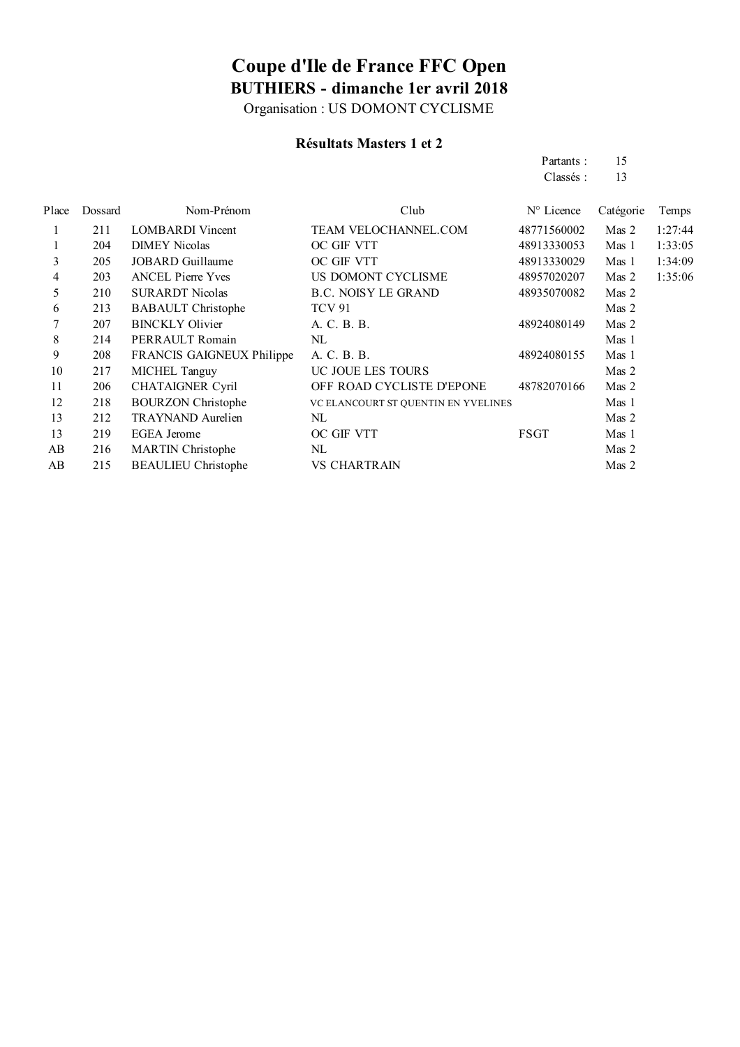Organisation : US DOMONT CYCLISME

### **Résultats Masters 1 et 2**

AB 215 BEAULIEU Christophe VS CHARTRAIN Mas 2

|       |         |                           |                                     | Partants:   | 15               |         |
|-------|---------|---------------------------|-------------------------------------|-------------|------------------|---------|
|       |         |                           |                                     | Classés:    | 13               |         |
| Place | Dossard | Nom-Prénom                | Club                                | N° Licence  | Catégorie        | Temps   |
|       | 211     | <b>LOMBARDI</b> Vincent   | TEAM VELOCHANNEL.COM                | 48771560002 | Mas 2            | 1:27:44 |
|       | 204     | <b>DIMEY Nicolas</b>      | OC GIF VTT                          | 48913330053 | Mas 1            | 1:33:05 |
| 3     | 205     | JOBARD Guillaume          | OC GIF VTT                          | 48913330029 | Mas 1            | 1:34:09 |
| 4     | 203     | <b>ANCEL Pierre Yves</b>  | US DOMONT CYCLISME                  | 48957020207 | Mas 2            | 1:35:06 |
| 5     | 210     | <b>SURARDT Nicolas</b>    | <b>B.C. NOISY LE GRAND</b>          | 48935070082 | Mas 2            |         |
| 6     | 213     | <b>BABAULT</b> Christophe | <b>TCV 91</b>                       |             | Mas 2            |         |
| 7     | 207     | <b>BINCKLY Olivier</b>    | A. C. B. B.                         | 48924080149 | Mas 2            |         |
| 8     | 214     | PERRAULT Romain           | NL                                  |             | Mas 1            |         |
| 9     | 208     | FRANCIS GAIGNEUX Philippe | A. C. B. B.                         | 48924080155 | Mas <sub>1</sub> |         |
| 10    | 217     | MICHEL Tanguy             | UC JOUE LES TOURS                   |             | Mas 2            |         |
| 11    | 206     | <b>CHATAIGNER Cyril</b>   | OFF ROAD CYCLISTE D'EPONE           | 48782070166 | Mas 2            |         |
| 12    | 218     | <b>BOURZON Christophe</b> | VC ELANCOURT ST QUENTIN EN YVELINES |             | Mas 1            |         |
| 13    | 212     | <b>TRAYNAND</b> Aurelien  | NL                                  |             | Mas 2            |         |
| 13    | 219     | <b>EGEA</b> Jerome        | OC GIF VTT                          | <b>FSGT</b> | Mas 1            |         |
| AB    | 216     | <b>MARTIN</b> Christophe  | $\rm NL$                            |             | Mas 2            |         |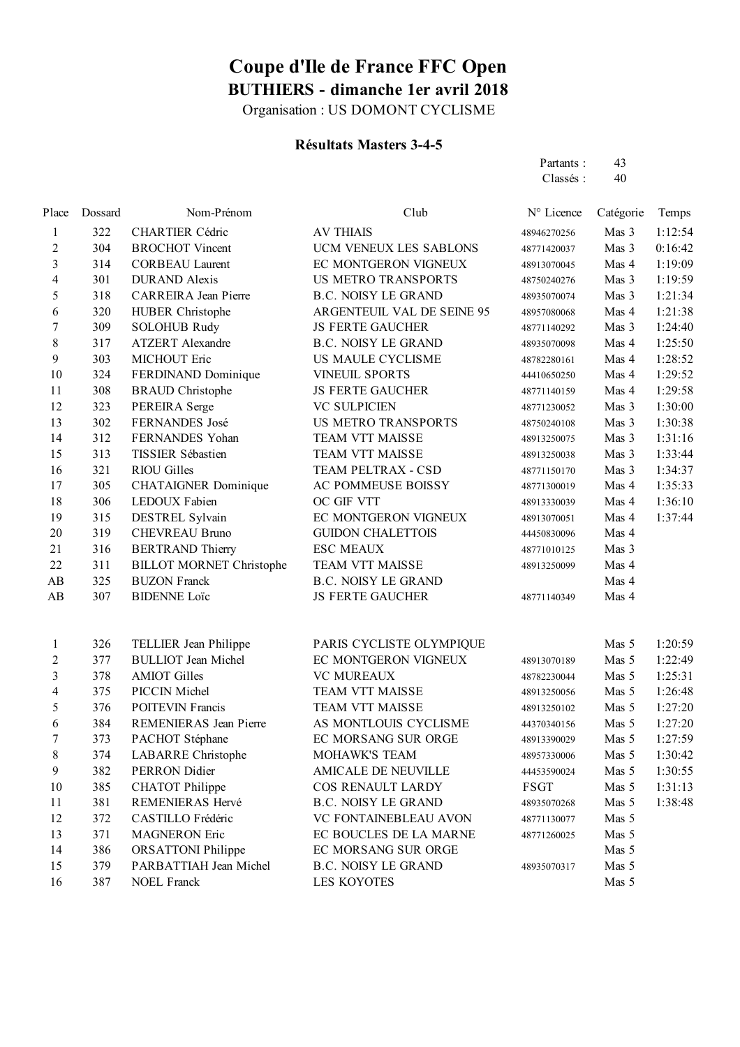Organisation : US DOMONT CYCLISME

### **Résultats Masters 3-4-5**

| Partants: | 43 |
|-----------|----|
| Classés:  | 40 |

| Place                    | Dossard | Nom-Prénom                      | Club                       | N° Licence  | Catégorie | Temps   |
|--------------------------|---------|---------------------------------|----------------------------|-------------|-----------|---------|
| 1                        | 322     | <b>CHARTIER Cédric</b>          | <b>AV THIAIS</b>           | 48946270256 | Mas 3     | 1:12:54 |
| 2                        | 304     | <b>BROCHOT Vincent</b>          | UCM VENEUX LES SABLONS     | 48771420037 | Mas 3     | 0:16:42 |
| 3                        | 314     | <b>CORBEAU Laurent</b>          | EC MONTGERON VIGNEUX       | 48913070045 | Mas 4     | 1:19:09 |
| 4                        | 301     | <b>DURAND</b> Alexis            | <b>US METRO TRANSPORTS</b> | 48750240276 | Mas 3     | 1:19:59 |
| 5                        | 318     | <b>CARREIRA</b> Jean Pierre     | <b>B.C. NOISY LE GRAND</b> | 48935070074 | Mas 3     | 1:21:34 |
| 6                        | 320     | <b>HUBER</b> Christophe         | ARGENTEUIL VAL DE SEINE 95 | 48957080068 | Mas 4     | 1:21:38 |
| $\boldsymbol{7}$         | 309     | <b>SOLOHUB Rudy</b>             | <b>JS FERTE GAUCHER</b>    | 48771140292 | Mas 3     | 1:24:40 |
| $\,$ 8 $\,$              | 317     | <b>ATZERT</b> Alexandre         | <b>B.C. NOISY LE GRAND</b> | 48935070098 | Mas 4     | 1:25:50 |
| 9                        | 303     | MICHOUT Eric                    | US MAULE CYCLISME          | 48782280161 | Mas 4     | 1:28:52 |
| 10                       | 324     | FERDINAND Dominique             | <b>VINEUIL SPORTS</b>      | 44410650250 | Mas 4     | 1:29:52 |
| 11                       | 308     | <b>BRAUD</b> Christophe         | <b>JS FERTE GAUCHER</b>    | 48771140159 | Mas 4     | 1:29:58 |
| 12                       | 323     | PEREIRA Serge                   | <b>VC SULPICIEN</b>        | 48771230052 | Mas 3     | 1:30:00 |
| 13                       | 302     | FERNANDES José                  | <b>US METRO TRANSPORTS</b> | 48750240108 | Mas 3     | 1:30:38 |
| 14                       | 312     | FERNANDES Yohan                 | <b>TEAM VTT MAISSE</b>     | 48913250075 | Mas 3     | 1:31:16 |
| 15                       | 313     | TISSIER Sébastien               | <b>TEAM VTT MAISSE</b>     | 48913250038 | Mas 3     | 1:33:44 |
| 16                       | 321     | <b>RIOU Gilles</b>              | TEAM PELTRAX - CSD         | 48771150170 | Mas 3     | 1:34:37 |
| 17                       | 305     | <b>CHATAIGNER Dominique</b>     | AC POMMEUSE BOISSY         | 48771300019 | Mas 4     | 1:35:33 |
| 18                       | 306     | LEDOUX Fabien                   | OC GIF VTT                 | 48913330039 | Mas 4     | 1:36:10 |
| 19                       | 315     | DESTREL Sylvain                 | EC MONTGERON VIGNEUX       | 48913070051 | Mas 4     | 1:37:44 |
| 20                       | 319     | <b>CHEVREAU Bruno</b>           | <b>GUIDON CHALETTOIS</b>   | 44450830096 | Mas 4     |         |
| 21                       | 316     | <b>BERTRAND Thierry</b>         | <b>ESC MEAUX</b>           | 48771010125 | Mas 3     |         |
| 22                       | 311     | <b>BILLOT MORNET Christophe</b> | <b>TEAM VTT MAISSE</b>     | 48913250099 | Mas 4     |         |
| AB                       | 325     | <b>BUZON Franck</b>             | <b>B.C. NOISY LE GRAND</b> |             | Mas 4     |         |
| AB                       | 307     | <b>BIDENNE Loïc</b>             | <b>JS FERTE GAUCHER</b>    | 48771140349 | Mas 4     |         |
| 1                        | 326     | TELLIER Jean Philippe           | PARIS CYCLISTE OLYMPIQUE   |             | Mas 5     | 1:20:59 |
| $\overline{2}$           | 377     | <b>BULLIOT</b> Jean Michel      | EC MONTGERON VIGNEUX       | 48913070189 | Mas 5     | 1:22:49 |
| $\overline{\mathbf{3}}$  | 378     | <b>AMIOT Gilles</b>             | <b>VC MUREAUX</b>          | 48782230044 | Mas 5     | 1:25:31 |
| $\overline{\mathcal{L}}$ | 375     | PICCIN Michel                   | <b>TEAM VTT MAISSE</b>     | 48913250056 | Mas 5     | 1:26:48 |
| 5                        | 376     | <b>POITEVIN Francis</b>         | <b>TEAM VTT MAISSE</b>     | 48913250102 | Mas 5     | 1:27:20 |
| 6                        | 384     | <b>REMENIERAS</b> Jean Pierre   | AS MONTLOUIS CYCLISME      | 44370340156 | Mas 5     | 1:27:20 |
| 7                        | 373     | PACHOT Stéphane                 | EC MORSANG SUR ORGE        | 48913390029 | Mas 5     | 1:27:59 |
| 8                        | 374     | <b>LABARRE Christophe</b>       | MOHAWK'S TEAM              | 48957330006 | Mas 5     | 1:30:42 |
| 9                        | 382     | PERRON Didier                   | AMICALE DE NEUVILLE        | 44453590024 | Mas 5     | 1:30:55 |
| 10                       | 385     | <b>CHATOT</b> Philippe          | <b>COS RENAULT LARDY</b>   | FSGT        | Mas 5     | 1:31:13 |
| 11                       | 381     | REMENIERAS Hervé                | <b>B.C. NOISY LE GRAND</b> | 48935070268 | Mas 5     | 1:38:48 |
| 12                       | 372     | CASTILLO Frédéric               | VC FONTAINEBLEAU AVON      | 48771130077 | Mas 5     |         |
| 13                       | 371     | <b>MAGNERON Eric</b>            | EC BOUCLES DE LA MARNE     | 48771260025 | Mas 5     |         |
| 14                       | 386     | <b>ORSATTONI</b> Philippe       | EC MORSANG SUR ORGE        |             | Mas 5     |         |
| 15                       | 379     | PARBATTIAH Jean Michel          | <b>B.C. NOISY LE GRAND</b> | 48935070317 | Mas 5     |         |
| 16                       | 387     | <b>NOEL Franck</b>              | <b>LES KOYOTES</b>         |             | Mas 5     |         |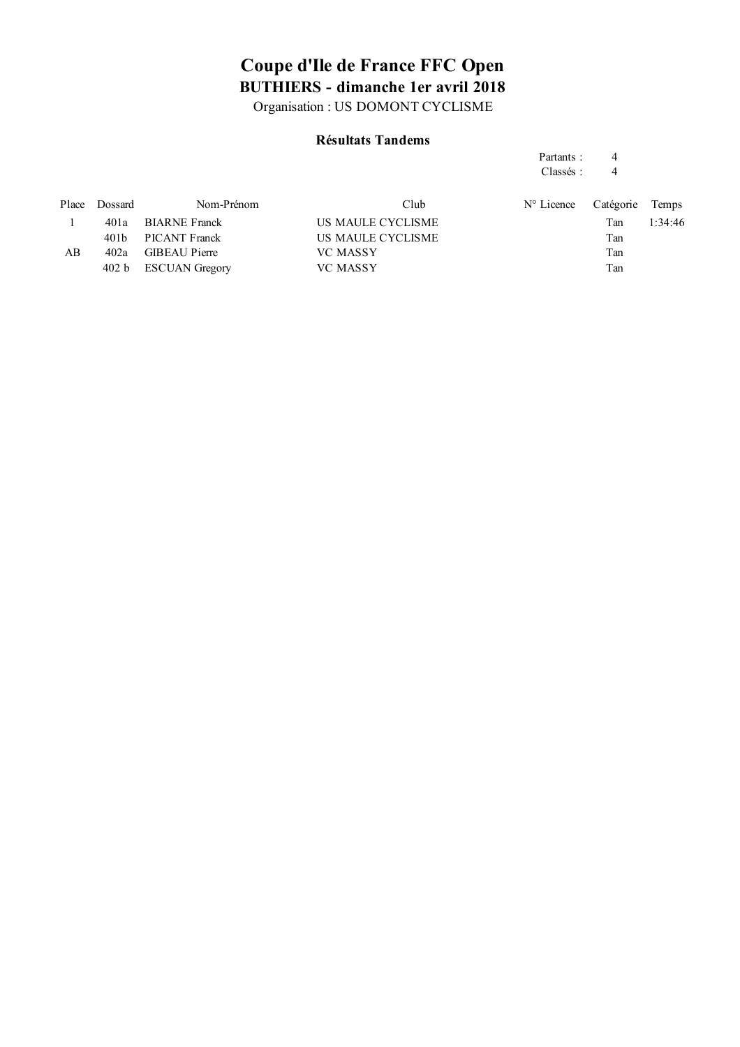Organisation : US DOMONT CYCLISME

#### **Résultats Tandems**

### Partants : 4

Classés : 4

| Place | Dossard | Nom-Prénom            | Club              | $N^{\circ}$ Licence | Catégorie Temps |         |
|-------|---------|-----------------------|-------------------|---------------------|-----------------|---------|
|       | 401a    | <b>BIARNE Franck</b>  | US MAULE CYCLISME |                     | Tan             | 1:34:46 |
|       |         | 401b PICANT Franck    | US MAULE CYCLISME |                     | Tan             |         |
| AB    | 402a    | <b>GIBEAU Pierre</b>  | <b>VC MASSY</b>   |                     | Tan             |         |
|       | 402 b   | <b>ESCUAN Gregory</b> | <b>VC MASSY</b>   |                     | Tan             |         |